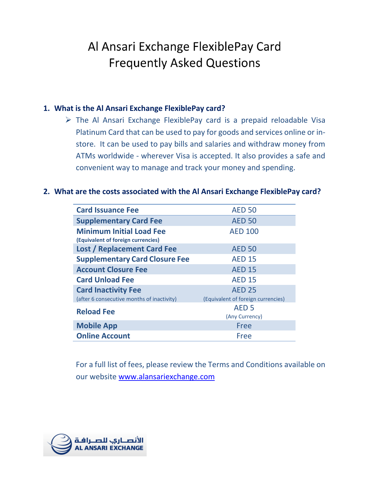# Al Ansari Exchange FlexiblePay Card **Frequently Asked Questions**

### **1. What is the Al Ansari Exchange FlexiblePay card?**

 $\triangleright$  The Al Ansari Exchange FlexiblePay card is a prepaid reloadable Visa Platinum Card that can be used to pay for goods and services online or instore. It can be used to pay bills and salaries and withdraw money from ATMs worldwide - wherever Visa is accepted. It also provides a safe and convenient way to manage and track your money and spending.

#### **2. What are the costs associated with the Al Ansari Exchange FlexiblePay card?**

| <b>Card Issuance Fee</b>                                              | <b>AED 50</b>                      |
|-----------------------------------------------------------------------|------------------------------------|
| <b>Supplementary Card Fee</b>                                         | <b>AED 50</b>                      |
| <b>Minimum Initial Load Fee</b><br>(Equivalent of foreign currencies) | <b>AED 100</b>                     |
| <b>Lost / Replacement Card Fee</b>                                    | <b>AED 50</b>                      |
| <b>Supplementary Card Closure Fee</b>                                 | <b>AED 15</b>                      |
| <b>Account Closure Fee</b>                                            | <b>AED 15</b>                      |
| <b>Card Unload Fee</b>                                                | <b>AED 15</b>                      |
| <b>Card Inactivity Fee</b>                                            | <b>AED 25</b>                      |
| (after 6 consecutive months of inactivity)                            | (Equivalent of foreign currencies) |
| <b>Reload Fee</b>                                                     | AED <sub>5</sub>                   |
|                                                                       | (Any Currency)                     |
| <b>Mobile App</b>                                                     | Free                               |
| <b>Online Account</b>                                                 | Free                               |

For a full list of fees, please review the Terms and Conditions available on our website [www.alansariexchange.com](http://www.alansariexchange.com/)

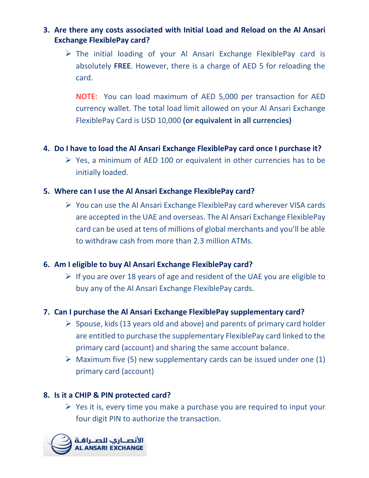### **3. Are there any costs associated with Initial Load and Reload on the Al Ansari Exchange FlexiblePay card?**

 $\triangleright$  The initial loading of your Al Ansari Exchange FlexiblePay card is absolutely **FREE**. However, there is a charge of AED 5 for reloading the card.

NOTE: You can load maximum of AED 5,000 per transaction for AED currency wallet. The total load limit allowed on your Al Ansari Exchange FlexiblePay Card is USD 10,000 **(or equivalent in all currencies)**

### **4. Do I have to load the Al Ansari Exchange FlexiblePay card once I purchase it?**

 $\triangleright$  Yes, a minimum of AED 100 or equivalent in other currencies has to be initially loaded.

### **5. Where can I use the Al Ansari Exchange FlexiblePay card?**

 $\triangleright$  You can use the Al Ansari Exchange FlexiblePay card wherever VISA cards are accepted in the UAE and overseas. The Al Ansari Exchange FlexiblePay card can be used at tens of millions of global merchants and you'll be able to withdraw cash from more than 2.3 million ATMs.

#### **6. Am I eligible to buy Al Ansari Exchange FlexiblePay card?**

 $\triangleright$  If you are over 18 years of age and resident of the UAE you are eligible to buy any of the Al Ansari Exchange FlexiblePay cards.

#### **7. Can I purchase the Al Ansari Exchange FlexiblePay supplementary card?**

- $\triangleright$  Spouse, kids (13 years old and above) and parents of primary card holder are entitled to purchase the supplementary FlexiblePay card linked to the primary card (account) and sharing the same account balance.
- $\triangleright$  Maximum five (5) new supplementary cards can be issued under one (1) primary card (account)

#### **8. Is it a CHIP & PIN protected card?**

 $\triangleright$  Yes it is, every time you make a purchase you are required to input your four digit PIN to authorize the transaction.

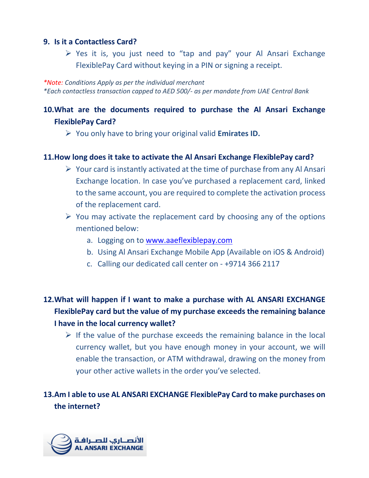#### **9. Is it a Contactless Card?**

 $\triangleright$  Yes it is, you just need to "tap and pay" your Al Ansari Exchange FlexiblePay Card without keying in a PIN or signing a receipt.

*\*Note: Conditions Apply as per the individual merchant \*Each contactless transaction capped to AED 500/- as per mandate from UAE Central Bank*

# **10.What are the documents required to purchase the Al Ansari Exchange FlexiblePay Card?**

You only have to bring your original valid **Emirates ID.**

### **11.How long does it take to activate the Al Ansari Exchange FlexiblePay card?**

- $\triangleright$  Your card is instantly activated at the time of purchase from any Al Ansari Exchange location. In case you've purchased a replacement card, linked to the same account, you are required to complete the activation process of the replacement card.
- $\triangleright$  You may activate the replacement card by choosing any of the options mentioned below:
	- a. Logging on to [www.aaeflexiblepay.com](http://www.aaeflexiblepay.com/)
	- b. Using Al Ansari Exchange Mobile App (Available on iOS & Android)
	- c. Calling our dedicated call center on +9714 366 2117

# **12.What will happen if I want to make a purchase with AL ANSARI EXCHANGE FlexiblePay card but the value of my purchase exceeds the remaining balance I have in the local currency wallet?**

 $\triangleright$  If the value of the purchase exceeds the remaining balance in the local currency wallet, but you have enough money in your account, we will enable the transaction, or ATM withdrawal, drawing on the money from your other active wallets in the order you've selected.

# **13.Am I able to use AL ANSARI EXCHANGE FlexiblePay Card to make purchases on the internet?**

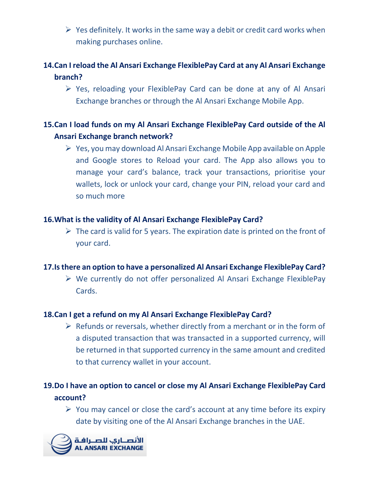$\triangleright$  Yes definitely. It works in the same way a debit or credit card works when making purchases online.

# **14.Can I reload the Al Ansari Exchange FlexiblePay Card at any Al Ansari Exchange branch?**

 $\triangleright$  Yes, reloading your FlexiblePay Card can be done at any of Al Ansari Exchange branches or through the Al Ansari Exchange Mobile App.

# **15.Can I load funds on my Al Ansari Exchange FlexiblePay Card outside of the Al Ansari Exchange branch network?**

 $\triangleright$  Yes, you may download Al Ansari Exchange Mobile App available on Apple and Google stores to Reload your card. The App also allows you to manage your card's balance, track your transactions, prioritise your wallets, lock or unlock your card, change your PIN, reload your card and so much more

#### **16.What is the validity of Al Ansari Exchange FlexiblePay Card?**

 $\triangleright$  The card is valid for 5 years. The expiration date is printed on the front of your card.

#### **17.Is there an option to have a personalized Al Ansari Exchange FlexiblePay Card?**

 $\triangleright$  We currently do not offer personalized Al Ansari Exchange FlexiblePay Cards.

#### **18.Can I get a refund on my Al Ansari Exchange FlexiblePay Card?**

 $\triangleright$  Refunds or reversals, whether directly from a merchant or in the form of a disputed transaction that was transacted in a supported currency, will be returned in that supported currency in the same amount and credited to that currency wallet in your account.

# **19.Do I have an option to cancel or close my Al Ansari Exchange FlexiblePay Card account?**

 $\triangleright$  You may cancel or close the card's account at any time before its expiry date by visiting one of the Al Ansari Exchange branches in the UAE.

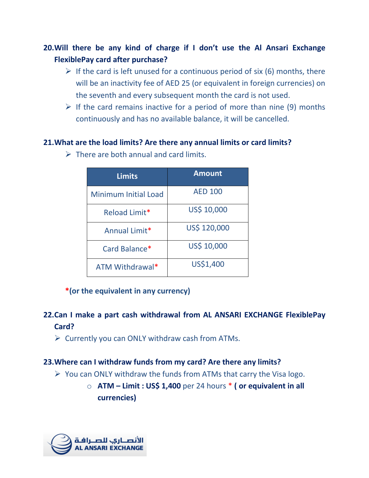# **20.Will there be any kind of charge if I don't use the Al Ansari Exchange FlexiblePay card after purchase?**

- $\triangleright$  If the card is left unused for a continuous period of six (6) months, there will be an inactivity fee of AED 25 (or equivalent in foreign currencies) on the seventh and every subsequent month the card is not used.
- $\triangleright$  If the card remains inactive for a period of more than nine (9) months continuously and has no available balance, it will be cancelled.

#### **21.What are the load limits? Are there any annual limits or card limits?**

| <b>Limits</b>               | <b>Amount</b>  |
|-----------------------------|----------------|
| <b>Minimum Initial Load</b> | <b>AED 100</b> |
| Reload Limit*               | US\$ 10,000    |
| Annual Limit*               | US\$ 120,000   |
| Card Balance*               | US\$ 10,000    |
| ATM Withdrawal*             | US\$1,400      |

 $\triangleright$  There are both annual and card limits.

### **\*(or the equivalent in any currency)**

# **22.Can I make a part cash withdrawal from AL ANSARI EXCHANGE FlexiblePay Card?**

 $\triangleright$  Currently you can ONLY withdraw cash from ATMs.

### **23.Where can I withdraw funds from my card? Are there any limits?**

- $\triangleright$  You can ONLY withdraw the funds from ATMs that carry the Visa logo.
	- o **ATM – Limit : US\$ 1,400** per 24 hours \* **( or equivalent in all currencies)**

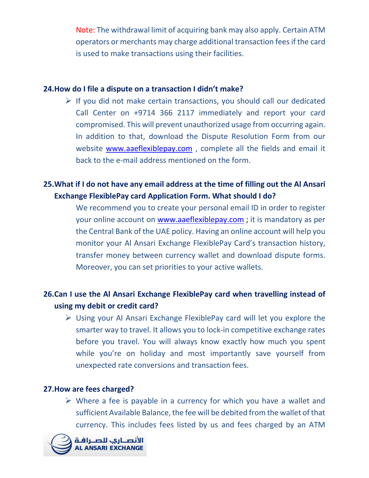Note: The withdrawal limit of acquiring bank may also apply. Certain ATM operators or merchants may charge additional transaction fees if the card is used to make transactions using their facilities.

#### **24.How do I file a dispute on a transaction I didn't make?**

 $\triangleright$  If you did not make certain transactions, you should call our dedicated Call Center on +9714 366 2117 immediately and report your card compromised. This will prevent unauthorized usage from occurring again. In addition to that, download the Dispute Resolution Form from our website [www.aaeflexiblepay.com](http://www.aaeflexiblepay.com/) , complete all the fields and email it back to the e-mail address mentioned on the form.

### **25.What if I do not have any email address at the time of filling out the Al Ansari Exchange FlexiblePay card Application Form. What should I do?**

We recommend you to create your personal email ID in order to register your online account on [www.aaeflexiblepay.com](http://www.aaeflexiblepay.com/) ; it is mandatory as per the Central Bank of the UAE policy. Having an online account will help you monitor your Al Ansari Exchange FlexiblePay Card's transaction history, transfer money between currency wallet and download dispute forms. Moreover, you can set priorities to your active wallets.

# **26.Can I use the Al Ansari Exchange FlexiblePay card when travelling instead of using my debit or credit card?**

 $\triangleright$  Using your Al Ansari Exchange FlexiblePay card will let you explore the smarter way to travel. It allows you to lock-in competitive exchange rates before you travel. You will always know exactly how much you spent while you're on holiday and most importantly save yourself from unexpected rate conversions and transaction fees.

#### **27.How are fees charged?**

 $\triangleright$  Where a fee is payable in a currency for which you have a wallet and sufficient Available Balance, the fee will be debited from the wallet of that currency. This includes fees listed by us and fees charged by an ATM

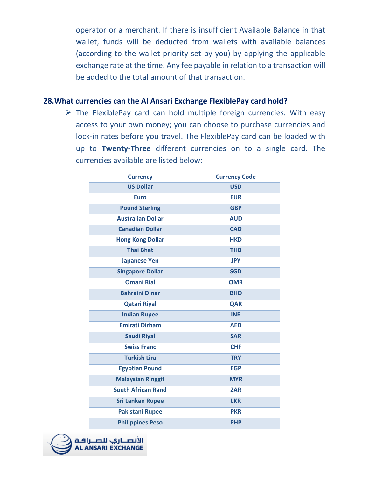operator or a merchant. If there is insufficient Available Balance in that wallet, funds will be deducted from wallets with available balances (according to the wallet priority set by you) by applying the applicable exchange rate at the time. Any fee payable in relation to a transaction will be added to the total amount of that transaction.

#### **28.What currencies can the Al Ansari Exchange FlexiblePay card hold?**

 $\triangleright$  The FlexiblePay card can hold multiple foreign currencies. With easy access to your own money; you can choose to purchase currencies and lock-in rates before you travel. The FlexiblePay card can be loaded with up to **Twenty-Three** different currencies on to a single card. The currencies available are listed below:

| <b>Currency</b>           | <b>Currency Code</b> |
|---------------------------|----------------------|
| <b>US Dollar</b>          | <b>USD</b>           |
| <b>Euro</b>               | <b>EUR</b>           |
| <b>Pound Sterling</b>     | <b>GBP</b>           |
| <b>Australian Dollar</b>  | <b>AUD</b>           |
| <b>Canadian Dollar</b>    | <b>CAD</b>           |
| <b>Hong Kong Dollar</b>   | <b>HKD</b>           |
| <b>Thai Bhat</b>          | <b>THB</b>           |
| <b>Japanese Yen</b>       | <b>JPY</b>           |
| <b>Singapore Dollar</b>   | <b>SGD</b>           |
| <b>Omani Rial</b>         | <b>OMR</b>           |
| <b>Bahraini Dinar</b>     | <b>BHD</b>           |
| <b>Qatari Riyal</b>       | <b>QAR</b>           |
| <b>Indian Rupee</b>       | <b>INR</b>           |
| <b>Emirati Dirham</b>     | <b>AED</b>           |
| <b>Saudi Riyal</b>        | <b>SAR</b>           |
| <b>Swiss Franc</b>        | <b>CHF</b>           |
| <b>Turkish Lira</b>       | <b>TRY</b>           |
| <b>Egyptian Pound</b>     | <b>EGP</b>           |
| <b>Malaysian Ringgit</b>  | <b>MYR</b>           |
| <b>South African Rand</b> | <b>ZAR</b>           |
| <b>Sri Lankan Rupee</b>   | <b>LKR</b>           |
| <b>Pakistani Rupee</b>    | <b>PKR</b>           |
| <b>Philippines Peso</b>   | <b>PHP</b>           |

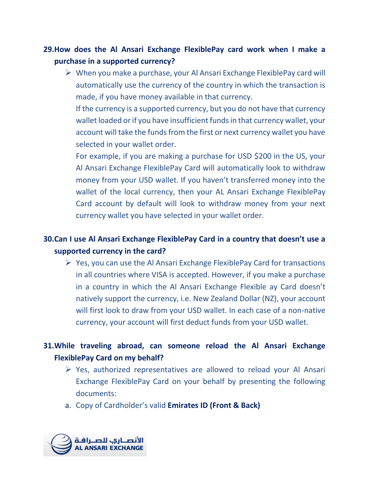# **29.How does the Al Ansari Exchange FlexiblePay card work when I make a purchase in a supported currency?**

 $\triangleright$  When you make a purchase, your Al Ansari Exchange FlexiblePay card will automatically use the currency of the country in which the transaction is made, if you have money available in that currency.

If the currency is a supported currency, but you do not have that currency wallet loaded or if you have insufficient funds in that currency wallet, your account will take the funds from the first or next currency wallet you have selected in your wallet order.

For example, if you are making a purchase for USD \$200 in the US, your Al Ansari Exchange FlexiblePay Card will automatically look to withdraw money from your USD wallet. If you haven't transferred money into the wallet of the local currency, then your AL Ansari Exchange FlexiblePay Card account by default will look to withdraw money from your next currency wallet you have selected in your wallet order.

# **30.Can I use Al Ansari Exchange FlexiblePay Card in a country that doesn't use a supported currency in the card?**

 $\triangleright$  Yes, you can use the Al Ansari Exchange FlexiblePay Card for transactions in all countries where VISA is accepted. However, if you make a purchase in a country in which the Al Ansari Exchange Flexible ay Card doesn't natively support the currency, i.e. New Zealand Dollar (NZ), your account will first look to draw from your USD wallet. In each case of a non-native currency, your account will first deduct funds from your USD wallet.

### **31.While traveling abroad, can someone reload the Al Ansari Exchange FlexiblePay Card on my behalf?**

- $\triangleright$  Yes, authorized representatives are allowed to reload your Al Ansari Exchange FlexiblePay Card on your behalf by presenting the following documents:
- a. Copy of Cardholder's valid **Emirates ID (Front & Back)**